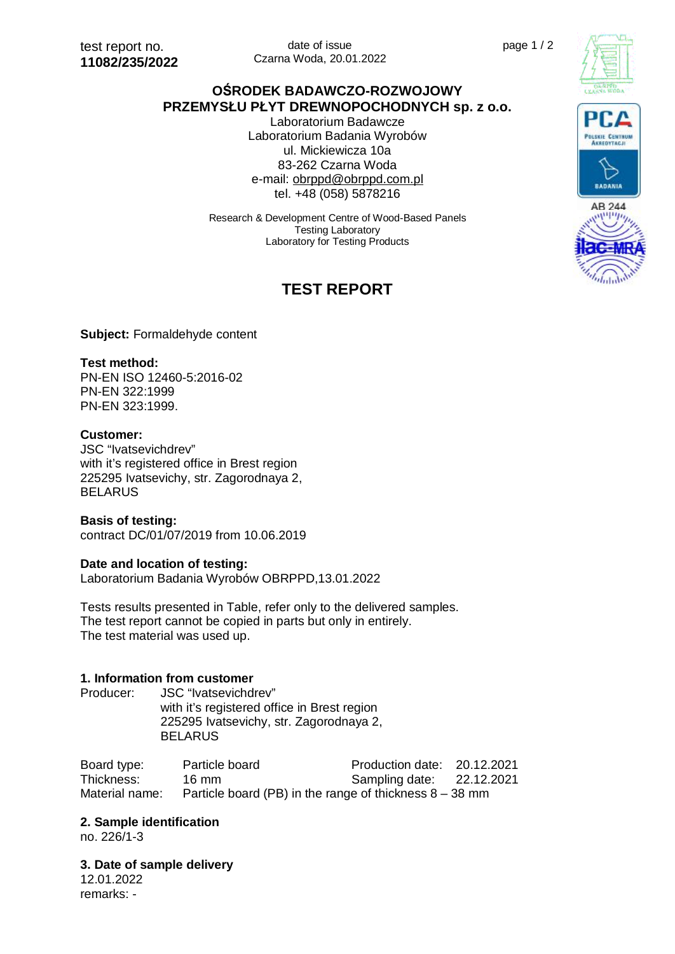date of issue Czarna Woda, 20.01.2022

# **OŚRODEK BADAWCZO-ROZWOJOWY PRZEMYSŁU PŁYT DREWNOPOCHODNYCH sp. z o.o.**

Laboratorium Badawcze Laboratorium Badania Wyrobów ul. Mickiewicza 10a 83-262 Czarna Woda e-mail: [obrppd@obrppd.com.pl](mailto:obrppd@obrppd.com.pl) tel. +48 (058) 5878216

Research & Development Centre of Wood-Based Panels Testing Laboratory Laboratory for Testing Products

# **TEST REPORT**







**BADANIA** 

#### **Subject:** Formaldehyde content

#### **Test method:**

PN-EN ISO 12460-5:2016-02 PN-EN 322:1999 PN-EN 323:1999.

#### **Customer:**

JSC "Ivatsevichdrev" with it's registered office in Brest region 225295 Ivatsevichy, str. Zagorodnaya 2, **BELARUS** 

#### **Basis of testing:**

contract DC/01/07/2019 from 10.06.2019

#### **Date and location of testing:**

Laboratorium Badania Wyrobów OBRPPD,13.01.2022

Tests results presented in Table, refer only to the delivered samples. The test report cannot be copied in parts but only in entirely. The test material was used up.

#### **1. Information from customer**

Producer: **JSC** "Ivatsevichdrev" with it's registered office in Brest region 225295 Ivatsevichy, str. Zagorodnaya 2, **BELARUS** 

Board type: Particle board Production date: 20.12.2021 Thickness: 16 mm Sampling date: 22.12.2021 Material name: Particle board (PB) in the range of thickness  $8 - 38$  mm

#### **2. Sample identification**

no. 226/1-3

**3. Date of sample delivery** 

12.01.2022 remarks: -